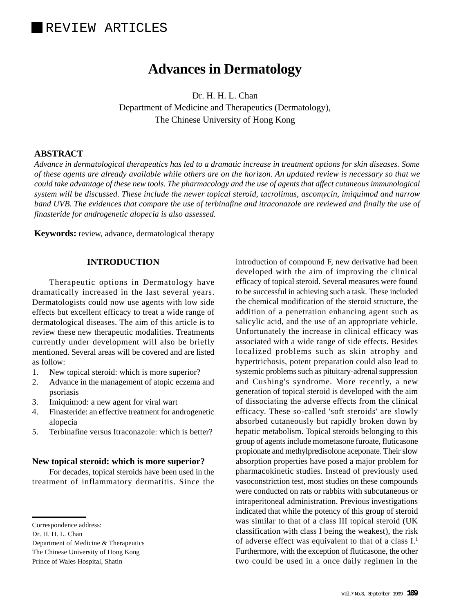# **Advances in Dermatology**

Dr. H. H. L. Chan Department of Medicine and Therapeutics (Dermatology), The Chinese University of Hong Kong

## **ABSTRACT**

*Advance in dermatological therapeutics has led to a dramatic increase in treatment options for skin diseases. Some of these agents are already available while others are on the horizon. An updated review is necessary so that we could take advantage of these new tools. The pharmacology and the use of agents that affect cutaneous immunological system will be discussed. These include the newer topical steroid, tacrolimus, ascomycin, imiquimod and narrow band UVB. The evidences that compare the use of terbinafine and itraconazole are reviewed and finally the use of finasteride for androgenetic alopecia is also assessed.*

**Keywords:** review, advance, dermatological therapy

#### **INTRODUCTION**

Therapeutic options in Dermatology have dramatically increased in the last several years. Dermatologists could now use agents with low side effects but excellent efficacy to treat a wide range of dermatological diseases. The aim of this article is to review these new therapeutic modalities. Treatments currently under development will also be briefly mentioned. Several areas will be covered and are listed as follow:

- 1. New topical steroid: which is more superior?
- 2. Advance in the management of atopic eczema and psoriasis
- 3. Imiquimod: a new agent for viral wart
- 4. Finasteride: an effective treatment for androgenetic alopecia
- 5. Terbinafine versus Itraconazole: which is better?

#### **New topical steroid: which is more superior?**

For decades, topical steroids have been used in the treatment of inflammatory dermatitis. Since the introduction of compound F, new derivative had been developed with the aim of improving the clinical efficacy of topical steroid. Several measures were found to be successful in achieving such a task. These included the chemical modification of the steroid structure, the addition of a penetration enhancing agent such as salicylic acid, and the use of an appropriate vehicle. Unfortunately the increase in clinical efficacy was associated with a wide range of side effects. Besides localized problems such as skin atrophy and hypertrichosis, potent preparation could also lead to systemic problems such as pituitary-adrenal suppression and Cushing's syndrome. More recently, a new generation of topical steroid is developed with the aim of dissociating the adverse effects from the clinical efficacy. These so-called 'soft steroids' are slowly absorbed cutaneously but rapidly broken down by hepatic metabolism. Topical steroids belonging to this group of agents include mometasone furoate, fluticasone propionate and methylpredisolone aceponate. Their slow absorption properties have posed a major problem for pharmacokinetic studies. Instead of previously used vasoconstriction test, most studies on these compounds were conducted on rats or rabbits with subcutaneous or intraperitoneal administration. Previous investigations indicated that while the potency of this group of steroid was similar to that of a class III topical steroid (UK classification with class I being the weakest), the risk of adverse effect was equivalent to that of a class I.1 Furthermore, with the exception of fluticasone, the other two could be used in a once daily regimen in the

Correspondence address:

Dr. H. H. L. Chan

Department of Medicine & Therapeutics The Chinese University of Hong Kong Prince of Wales Hospital, Shatin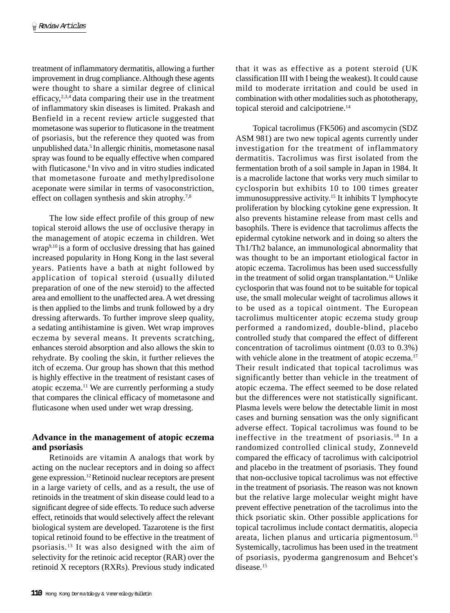treatment of inflammatory dermatitis, allowing a further improvement in drug compliance. Although these agents were thought to share a similar degree of clinical efficacy, $2,3,4$  data comparing their use in the treatment of inflammatory skin diseases is limited. Prakash and Benfield in a recent review article suggested that mometasone was superior to fluticasone in the treatment of psoriasis, but the reference they quoted was from unpublished data.5 In allergic rhinitis, mometasone nasal spray was found to be equally effective when compared with fluticasone.<sup>6</sup> In vivo and in vitro studies indicated that mometasone furoate and methylpredisolone aceponate were similar in terms of vasoconstriction, effect on collagen synthesis and skin atrophy.<sup>7,8</sup>

The low side effect profile of this group of new topical steroid allows the use of occlusive therapy in the management of atopic eczema in children. Wet wrap<sup>9,10</sup> is a form of occlusive dressing that has gained increased popularity in Hong Kong in the last several years. Patients have a bath at night followed by application of topical steroid (usually diluted preparation of one of the new steroid) to the affected area and emollient to the unaffected area. A wet dressing is then applied to the limbs and trunk followed by a dry dressing afterwards. To further improve sleep quality, a sedating antihistamine is given. Wet wrap improves eczema by several means. It prevents scratching, enhances steroid absorption and also allows the skin to rehydrate. By cooling the skin, it further relieves the itch of eczema. Our group has shown that this method is highly effective in the treatment of resistant cases of atopic eczema.11 We are currently performing a study that compares the clinical efficacy of mometasone and fluticasone when used under wet wrap dressing.

## **Advance in the management of atopic eczema and psoriasis**

Retinoids are vitamin A analogs that work by acting on the nuclear receptors and in doing so affect gene expression.12 Retinoid nuclear receptors are present in a large variety of cells, and as a result, the use of retinoids in the treatment of skin disease could lead to a significant degree of side effects. To reduce such adverse effect, retinoids that would selectively affect the relevant biological system are developed. Tazarotene is the first topical retinoid found to be effective in the treatment of psoriasis.13 It was also designed with the aim of selectivity for the retinoic acid receptor (RAR) over the retinoid X receptors (RXRs). Previous study indicated that it was as effective as a potent steroid (UK classification III with I being the weakest). It could cause mild to moderate irritation and could be used in combination with other modalities such as phototherapy, topical steroid and calcipotriene.<sup>14</sup>

Topical tacrolimus (FK506) and ascomycin (SDZ ASM 981) are two new topical agents currently under investigation for the treatment of inflammatory dermatitis. Tacrolimus was first isolated from the fermentation broth of a soil sample in Japan in 1984. It is a macrolide lactone that works very much similar to cyclosporin but exhibits 10 to 100 times greater immunosuppressive activity.15 It inhibits T lymphocyte proliferation by blocking cytokine gene expression. It also prevents histamine release from mast cells and basophils. There is evidence that tacrolimus affects the epidermal cytokine network and in doing so alters the Th1/Th2 balance, an immunological abnormality that was thought to be an important etiological factor in atopic eczema. Tacrolimus has been used successfully in the treatment of solid organ transplantation.16 Unlike cyclosporin that was found not to be suitable for topical use, the small molecular weight of tacrolimus allows it to be used as a topical ointment. The European tacrolimus multicenter atopic eczema study group performed a randomized, double-blind, placebo controlled study that compared the effect of different concentration of tacrolimus ointment (0.03 to 0.3%) with vehicle alone in the treatment of atopic eczema.<sup>17</sup> Their result indicated that topical tacrolimus was significantly better than vehicle in the treatment of atopic eczema. The effect seemed to be dose related but the differences were not statistically significant. Plasma levels were below the detectable limit in most cases and burning sensation was the only significant adverse effect. Topical tacrolimus was found to be ineffective in the treatment of psoriasis.18 In a randomized controlled clinical study, Zonneveld compared the efficacy of tacrolimus with calcipotriol and placebo in the treatment of psoriasis. They found that non-occlusive topical tacrolimus was not effective in the treatment of psoriasis. The reason was not known but the relative large molecular weight might have prevent effective penetration of the tacrolimus into the thick psoriatic skin. Other possible applications for topical tacrolimus include contact dermatitis, alopecia areata, lichen planus and urticaria pigmentosum.15 Systemically, tacrolimus has been used in the treatment of psoriasis, pyoderma gangrenosum and Behcet's disease.<sup>15</sup>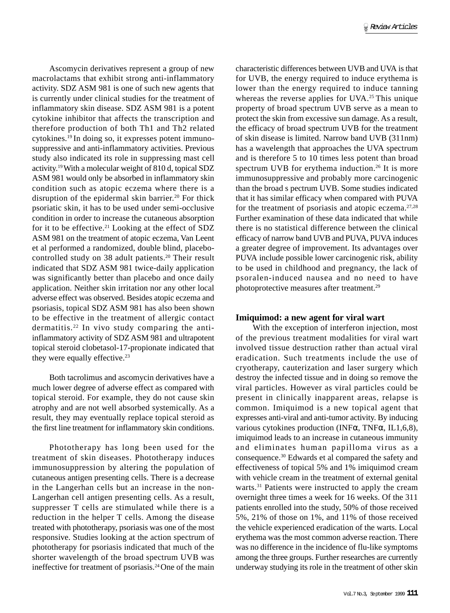Ascomycin derivatives represent a group of new macrolactams that exhibit strong anti-inflammatory activity. SDZ ASM 981 is one of such new agents that is currently under clinical studies for the treatment of inflammatory skin disease. SDZ ASM 981 is a potent cytokine inhibitor that affects the transcription and therefore production of both Th1 and Th2 related cytokines.19 In doing so, it expresses potent immunosuppressive and anti-inflammatory activities. Previous study also indicated its role in suppressing mast cell activity.19 With a molecular weight of 810 d, topical SDZ ASM 981 would only be absorbed in inflammatory skin condition such as atopic eczema where there is a disruption of the epidermal skin barrier.<sup>20</sup> For thick psoriatic skin, it has to be used under semi-occlusive condition in order to increase the cutaneous absorption for it to be effective.<sup>21</sup> Looking at the effect of SDZ ASM 981 on the treatment of atopic eczema, Van Leent et al performed a randomized, double blind, placebocontrolled study on 38 adult patients.<sup>20</sup> Their result indicated that SDZ ASM 981 twice-daily application was significantly better than placebo and once daily application. Neither skin irritation nor any other local adverse effect was observed. Besides atopic eczema and psoriasis, topical SDZ ASM 981 has also been shown to be effective in the treatment of allergic contact dermatitis.22 In vivo study comparing the antiinflammatory activity of SDZ ASM 981 and ultrapotent topical steroid clobetasol-17-propionate indicated that they were equally effective.<sup>23</sup>

Both tacrolimus and ascomycin derivatives have a much lower degree of adverse effect as compared with topical steroid. For example, they do not cause skin atrophy and are not well absorbed systemically. As a result, they may eventually replace topical steroid as the first line treatment for inflammatory skin conditions.

Phototherapy has long been used for the treatment of skin diseases. Phototherapy induces immunosuppression by altering the population of cutaneous antigen presenting cells. There is a decrease in the Langerhan cells but an increase in the non-Langerhan cell antigen presenting cells. As a result, suppresser T cells are stimulated while there is a reduction in the helper T cells. Among the disease treated with phototherapy, psoriasis was one of the most responsive. Studies looking at the action spectrum of phototherapy for psoriasis indicated that much of the shorter wavelength of the broad spectrum UVB was ineffective for treatment of psoriasis.24 One of the main

characteristic differences between UVB and UVA is that for UVB, the energy required to induce erythema is lower than the energy required to induce tanning whereas the reverse applies for UVA.<sup>25</sup> This unique property of broad spectrum UVB serve as a mean to protect the skin from excessive sun damage. As a result, the efficacy of broad spectrum UVB for the treatment of skin disease is limited. Narrow band UVB (311nm) has a wavelength that approaches the UVA spectrum and is therefore 5 to 10 times less potent than broad spectrum UVB for erythema induction.<sup>26</sup> It is more immunosuppressive and probably more carcinogenic than the broad s pectrum UVB. Some studies indicated that it has similar efficacy when compared with PUVA for the treatment of psoriasis and atopic eczema. $27,28$ Further examination of these data indicated that while there is no statistical difference between the clinical efficacy of narrow band UVB and PUVA, PUVA induces a greater degree of improvement. Its advantages over PUVA include possible lower carcinogenic risk, ability to be used in childhood and pregnancy, the lack of psoralen-induced nausea and no need to have photoprotective measures after treatment.29

#### **Imiquimod: a new agent for viral wart**

With the exception of interferon injection, most of the previous treatment modalities for viral wart involved tissue destruction rather than actual viral eradication. Such treatments include the use of cryotherapy, cauterization and laser surgery which destroy the infected tissue and in doing so remove the viral particles. However as viral particles could be present in clinically inapparent areas, relapse is common. Imiquimod is a new topical agent that expresses anti-viral and anti-tumor activity. By inducing various cytokines production (INFα, TNFα, IL1,6,8), imiquimod leads to an increase in cutaneous immunity and eliminates human papilloma virus as a consequence.30 Edwards et al compared the safety and effectiveness of topical 5% and 1% imiquimod cream with vehicle cream in the treatment of external genital warts.<sup>31</sup> Patients were instructed to apply the cream overnight three times a week for 16 weeks. Of the 311 patients enrolled into the study, 50% of those received 5%, 21% of those on 1%, and 11% of those received the vehicle experienced eradication of the warts. Local erythema was the most common adverse reaction. There was no difference in the incidence of flu-like symptoms among the three groups. Further researches are currently underway studying its role in the treatment of other skin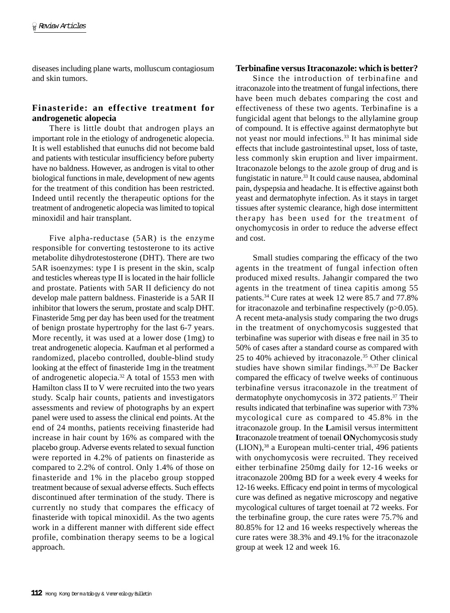diseases including plane warts, molluscum contagiosum and skin tumors.

# **Finasteride: an effective treatment for androgenetic alopecia**

There is little doubt that androgen plays an important role in the etiology of androgenetic alopecia. It is well established that eunuchs did not become bald and patients with testicular insufficiency before puberty have no baldness. However, as androgen is vital to other biological functions in male, development of new agents for the treatment of this condition has been restricted. Indeed until recently the therapeutic options for the treatment of androgenetic alopecia was limited to topical minoxidil and hair transplant.

Five alpha-reductase (5AR) is the enzyme responsible for converting testosterone to its active metabolite dihydrotestosterone (DHT). There are two 5AR isoenzymes: type I is present in the skin, scalp and testicles whereas type II is located in the hair follicle and prostate. Patients with 5AR II deficiency do not develop male pattern baldness. Finasteride is a 5AR II inhibitor that lowers the serum, prostate and scalp DHT. Finasteride 5mg per day has been used for the treatment of benign prostate hypertrophy for the last 6-7 years. More recently, it was used at a lower dose (1mg) to treat androgenetic alopecia. Kaufman et al performed a randomized, placebo controlled, double-blind study looking at the effect of finasteride 1mg in the treatment of androgenetic alopecia.32 A total of 1553 men with Hamilton class II to V were recruited into the two years study. Scalp hair counts, patients and investigators assessments and review of photographs by an expert panel were used to assess the clinical end points. At the end of 24 months, patients receiving finasteride had increase in hair count by 16% as compared with the placebo group. Adverse events related to sexual function were reported in 4.2% of patients on finasteride as compared to 2.2% of control. Only 1.4% of those on finasteride and 1% in the placebo group stopped treatment because of sexual adverse effects. Such effects discontinued after termination of the study. There is currently no study that compares the efficacy of finasteride with topical minoxidil. As the two agents work in a different manner with different side effect profile, combination therapy seems to be a logical approach.

#### **Terbinafine versus Itraconazole: which is better?**

Since the introduction of terbinafine and itraconazole into the treatment of fungal infections, there have been much debates comparing the cost and effectiveness of these two agents. Terbinafine is a fungicidal agent that belongs to the allylamine group of compound. It is effective against dermatophyte but not yeast nor mould infections.33 It has minimal side effects that include gastrointestinal upset, loss of taste, less commonly skin eruption and liver impairment. Itraconazole belongs to the azole group of drug and is fungistatic in nature.33 It could cause nausea, abdominal pain, dyspepsia and headache. It is effective against both yeast and dermatophyte infection. As it stays in target tissues after systemic clearance, high dose intermittent therapy has been used for the treatment of onychomycosis in order to reduce the adverse effect and cost.

Small studies comparing the efficacy of the two agents in the treatment of fungal infection often produced mixed results. Jahangir compared the two agents in the treatment of tinea capitis among 55 patients.34 Cure rates at week 12 were 85.7 and 77.8% for itraconazole and terbinafine respectively (p>0.05). A recent meta-analysis study comparing the two drugs in the treatment of onychomycosis suggested that terbinafine was superior with diseas e free nail in 35 to 50% of cases after a standard course as compared with 25 to 40% achieved by itraconazole.35 Other clinical studies have shown similar findings.36,37 De Backer compared the efficacy of twelve weeks of continuous terbinafine versus itraconazole in the treatment of dermatophyte onychomycosis in 372 patients.<sup>37</sup> Their results indicated that terbinafine was superior with 73% mycological cure as compared to 45.8% in the itraconazole group. In the **L**amisil versus intermittent **I**traconazole treatment of toenail **ON**ychomycosis study (LION),38 a European multi-center trial, 496 patients with onychomycosis were recruited. They received either terbinafine 250mg daily for 12-16 weeks or itraconazole 200mg BD for a week every 4 weeks for 12-16 weeks. Efficacy end point in terms of mycological cure was defined as negative microscopy and negative mycological cultures of target toenail at 72 weeks. For the terbinafine group, the cure rates were 75.7% and 80.85% for 12 and 16 weeks respectively whereas the cure rates were 38.3% and 49.1% for the itraconazole group at week 12 and week 16.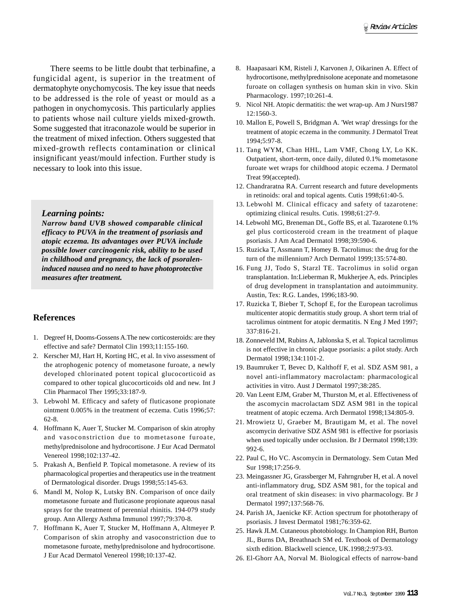There seems to be little doubt that terbinafine, a fungicidal agent, is superior in the treatment of dermatophyte onychomycosis. The key issue that needs to be addressed is the role of yeast or mould as a pathogen in onychomycosis. This particularly applies to patients whose nail culture yields mixed-growth. Some suggested that itraconazole would be superior in the treatment of mixed infection. Others suggested that mixed-growth reflects contamination or clinical insignificant yeast/mould infection. Further study is necessary to look into this issue.

#### *Learning points:*

*Narrow band UVB showed comparable clinical efficacy to PUVA in the treatment of psoriasis and atopic eczema. Its advantages over PUVA include possible lower carcinogenic risk, ability to be used in childhood and pregnancy, the lack of psoraleninduced nausea and no need to have photoprotective measures after treatment.*

### **References**

- 1. Degreef H, Dooms-Gossens A.The new corticosteroids: are they effective and safe? Dermatol Clin 1993;11:155-160.
- 2. Kerscher MJ, Hart H, Korting HC, et al. In vivo assessment of the atrophogenic potency of mometasone furoate, a newly developed chlorinated potent topical glucocorticoid as compared to other topical glucocorticoids old and new. Int J Clin Pharmacol Ther 1995;33:187-9.
- 3. Lebwohl M. Efficacy and safety of fluticasone propionate ointment 0.005% in the treatment of eczema. Cutis 1996;57: 62-8.
- 4. Hoffmann K, Auer T, Stucker M. Comparison of skin atrophy and vasoconstriction due to mometasone furoate, methylprednisolone and hydrocortisone. J Eur Acad Dermatol Venereol 1998;102:137-42.
- 5. Prakash A, Benfield P. Topical mometasone. A review of its pharmacological properties and therapeutics use in the treatment of Dermatological disorder. Drugs 1998;55:145-63.
- 6. Mandl M, Nolop K, Lutsky BN. Comparison of once daily mometasone furoate and fluticasone propionate aqueous nasal sprays for the treatment of perennial rhinitis. 194-079 study group. Ann Allergy Asthma Immunol 1997;79:370-8.
- 7. Hoffmann K, Auer T, Stucker M, Hoffmann A, Altmeyer P. Comparison of skin atrophy and vasoconstriction due to mometasone furoate, methylprednisolone and hydrocortisone. J Eur Acad Dermatol Venereol 1998;10:137-42.
- 8. Haapasaari KM, Risteli J, Karvonen J, Oikarinen A. Effect of hydrocortisone, methylprednisolone aceponate and mometasone furoate on collagen synthesis on human skin in vivo. Skin Pharmacology. 1997;10:261-4.
- 9. Nicol NH. Atopic dermatitis: the wet wrap-up. Am J Nurs1987 12:1560-3.
- 10. Mallon E, Powell S, Bridgman A. 'Wet wrap' dressings for the treatment of atopic eczema in the community. J Dermatol Treat 1994;5:97-8.
- 11. Tang WYM, Chan HHL, Lam VMF, Chong LY, Lo KK. Outpatient, short-term, once daily, diluted 0.1% mometasone furoate wet wraps for childhood atopic eczema. J Dermatol Treat 99(accepted).
- 12. Chandraratna RA. Current research and future developments in retinoids: oral and topical agents. Cutis 1998;61:40-5.
- 13. Lebwohl M. Clinical efficacy and safety of tazarotene: optimizing clinical results. Cutis. 1998;61:27-9.
- 14. Lebwohl MG, Breneman DL, Goffe BS, et al. Tazarotene 0.1% gel plus corticosteroid cream in the treatment of plaque psoriasis. J Am Acad Dermatol 1998;39:590-6.
- 15. Ruzicka T, Assmann T, Homey B. Tacrolimus: the drug for the turn of the millennium? Arch Dermatol 1999;135:574-80.
- 16. Fung JJ, Todo S, Starzl TE. Tacrolimus in solid organ transplantation. In:Lieberman R, Mukherjee A, eds. Principles of drug development in transplantation and autoimmunity. Austin, Tex: R.G. Landes, 1996;183-90.
- 17. Ruzicka T, Bieber T, Schopf E, for the European tacrolimus multicenter atopic dermatitis study group. A short term trial of tacrolimus ointment for atopic dermatitis. N Eng J Med 1997; 337:816-21.
- 18. Zonneveld IM, Rubins A, Jablonska S, et al. Topical tacrolimus is not effective in chronic plaque psoriasis: a pilot study. Arch Dermatol 1998;134:1101-2.
- 19. Baumruker T, Bevec D, Kalthoff F, et al. SDZ ASM 981, a novel anti-inflammatory macrolactam: pharmacological activities in vitro. Aust J Dermatol 1997;38:285.
- 20. Van Leent EJM, Graber M, Thurston M, et al. Effectiveness of the ascomycin macrolactam SDZ ASM 981 in the topical treatment of atopic eczema. Arch Dermatol 1998;134:805-9.
- 21. Mrowietz U, Graeber M, Brautigam M, et al. The novel ascomycin derivative SDZ ASM 981 is effective for psoriasis when used topically under occlusion. Br J Dermatol 1998;139: 992-6.
- 22. Paul C, Ho VC. Ascomycin in Dermatology. Sem Cutan Med Sur 1998;17:256-9.
- 23. Meingassner JG, Grassberger M, Fahrngruber H, et al. A novel anti-inflammatory drug, SDZ ASM 981, for the topical and oral treatment of skin diseases: in vivo pharmacology. Br J Dermatol 1997;137:568-76.
- 24. Parish JA, Jaenicke KF. Action spectrum for phototherapy of psoriasis. J Invest Dermatol 1981;76:359-62.
- 25. Hawk JLM. Cutaneous photobiology. In Champion RH, Burton JL, Burns DA, Breathnach SM ed. Textbook of Dermatology sixth edition. Blackwell science, UK.1998;2:973-93.
- 26. El-Ghorr AA, Norval M. Biological effects of narrow-band